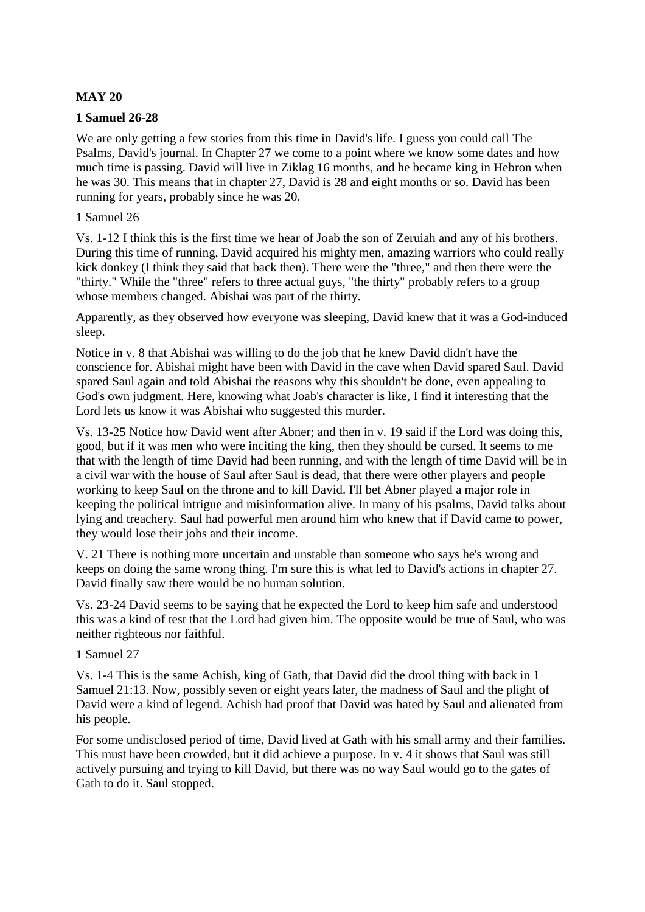# **MAY 20**

### **1 Samuel 26-28**

We are only getting a few stories from this time in David's life. I guess you could call The Psalms, David's journal. In Chapter 27 we come to a point where we know some dates and how much time is passing. David will live in Ziklag 16 months, and he became king in Hebron when he was 30. This means that in chapter 27, David is 28 and eight months or so. David has been running for years, probably since he was 20.

### 1 Samuel 26

Vs. 1-12 I think this is the first time we hear of Joab the son of Zeruiah and any of his brothers. During this time of running, David acquired his mighty men, amazing warriors who could really kick donkey (I think they said that back then). There were the "three," and then there were the "thirty." While the "three" refers to three actual guys, "the thirty" probably refers to a group whose members changed. Abishai was part of the thirty.

Apparently, as they observed how everyone was sleeping, David knew that it was a God-induced sleep.

Notice in v. 8 that Abishai was willing to do the job that he knew David didn't have the conscience for. Abishai might have been with David in the cave when David spared Saul. David spared Saul again and told Abishai the reasons why this shouldn't be done, even appealing to God's own judgment. Here, knowing what Joab's character is like, I find it interesting that the Lord lets us know it was Abishai who suggested this murder.

Vs. 13-25 Notice how David went after Abner; and then in v. 19 said if the Lord was doing this, good, but if it was men who were inciting the king, then they should be cursed. It seems to me that with the length of time David had been running, and with the length of time David will be in a civil war with the house of Saul after Saul is dead, that there were other players and people working to keep Saul on the throne and to kill David. I'll bet Abner played a major role in keeping the political intrigue and misinformation alive. In many of his psalms, David talks about lying and treachery. Saul had powerful men around him who knew that if David came to power, they would lose their jobs and their income.

V. 21 There is nothing more uncertain and unstable than someone who says he's wrong and keeps on doing the same wrong thing. I'm sure this is what led to David's actions in chapter 27. David finally saw there would be no human solution.

Vs. 23-24 David seems to be saying that he expected the Lord to keep him safe and understood this was a kind of test that the Lord had given him. The opposite would be true of Saul, who was neither righteous nor faithful.

#### 1 Samuel 27

Vs. 1-4 This is the same Achish, king of Gath, that David did the drool thing with back in 1 Samuel 21:13. Now, possibly seven or eight years later, the madness of Saul and the plight of David were a kind of legend. Achish had proof that David was hated by Saul and alienated from his people.

For some undisclosed period of time, David lived at Gath with his small army and their families. This must have been crowded, but it did achieve a purpose. In v. 4 it shows that Saul was still actively pursuing and trying to kill David, but there was no way Saul would go to the gates of Gath to do it. Saul stopped.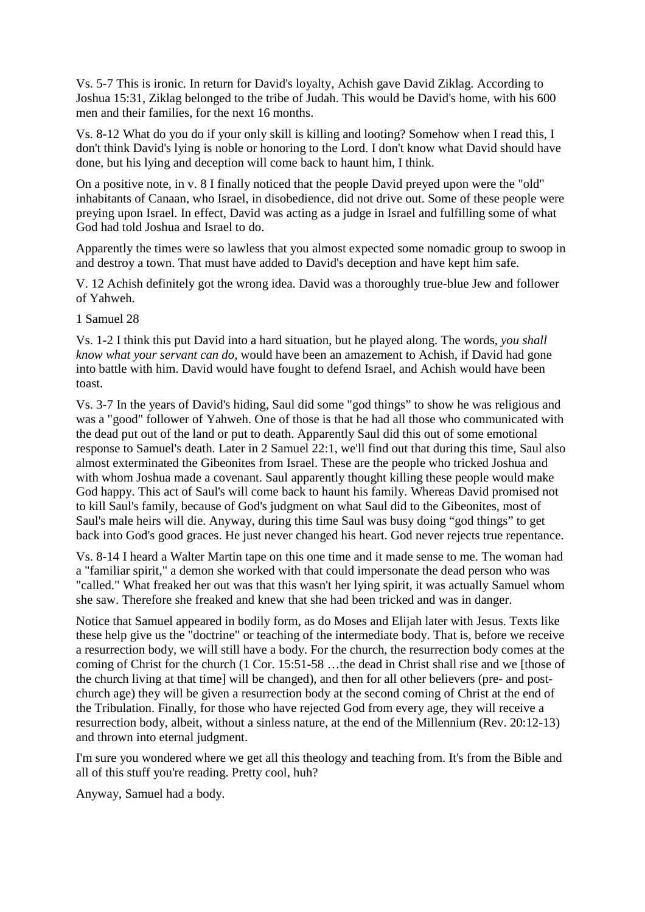Vs. 5-7 This is ironic. In return for David's loyalty, Achish gave David Ziklag. According to Joshua 15:31, Ziklag belonged to the tribe of Judah. This would be David's home, with his 600 men and their families, for the next 16 months.

Vs. 8-12 What do you do if your only skill is killing and looting? Somehow when I read this, I don't think David's lying is noble or honoring to the Lord. I don't know what David should have done, but his lying and deception will come back to haunt him, I think.

On a positive note, in v. 8 I finally noticed that the people David preyed upon were the "old" inhabitants of Canaan, who Israel, in disobedience, did not drive out. Some of these people were preying upon Israel. In effect, David was acting as a judge in Israel and fulfilling some of what God had told Joshua and Israel to do.

Apparently the times were so lawless that you almost expected some nomadic group to swoop in and destroy a town. That must have added to David's deception and have kept him safe.

V. 12 Achish definitely got the wrong idea. David was a thoroughly true-blue Jew and follower of Yahweh.

1 Samuel 28

Vs. 1-2 I think this put David into a hard situation, but he played along. The words, *you shall know what your servant can do,* would have been an amazement to Achish, if David had gone into battle with him. David would have fought to defend Israel, and Achish would have been toast.

Vs. 3-7 In the years of David's hiding, Saul did some "god things" to show he was religious and was a "good" follower of Yahweh. One of those is that he had all those who communicated with the dead put out of the land or put to death. Apparently Saul did this out of some emotional response to Samuel's death. Later in 2 Samuel 22:1, we'll find out that during this time, Saul also almost exterminated the Gibeonites from Israel. These are the people who tricked Joshua and with whom Joshua made a covenant. Saul apparently thought killing these people would make God happy. This act of Saul's will come back to haunt his family. Whereas David promised not to kill Saul's family, because of God's judgment on what Saul did to the Gibeonites, most of Saul's male heirs will die. Anyway, during this time Saul was busy doing "god things" to get back into God's good graces. He just never changed his heart. God never rejects true repentance.

Vs. 8-14 I heard a Walter Martin tape on this one time and it made sense to me. The woman had a "familiar spirit," a demon she worked with that could impersonate the dead person who was "called." What freaked her out was that this wasn't her lying spirit, it was actually Samuel whom she saw. Therefore she freaked and knew that she had been tricked and was in danger.

Notice that Samuel appeared in bodily form, as do Moses and Elijah later with Jesus. Texts like these help give us the "doctrine" or teaching of the intermediate body. That is, before we receive a resurrection body, we will still have a body. For the church, the resurrection body comes at the coming of Christ for the church (1 Cor. 15:51-58 …the dead in Christ shall rise and we [those of the church living at that time] will be changed), and then for all other believers (pre- and postchurch age) they will be given a resurrection body at the second coming of Christ at the end of the Tribulation. Finally, for those who have rejected God from every age, they will receive a resurrection body, albeit, without a sinless nature, at the end of the Millennium (Rev. 20:12-13) and thrown into eternal judgment.

I'm sure you wondered where we get all this theology and teaching from. It's from the Bible and all of this stuff you're reading. Pretty cool, huh?

Anyway, Samuel had a body.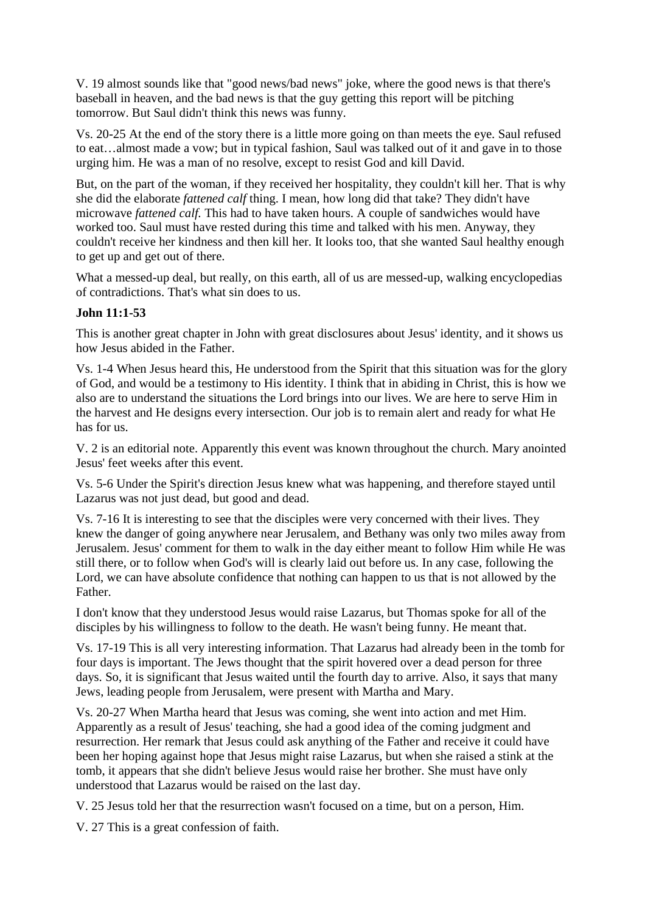V. 19 almost sounds like that "good news/bad news" joke, where the good news is that there's baseball in heaven, and the bad news is that the guy getting this report will be pitching tomorrow. But Saul didn't think this news was funny.

Vs. 20-25 At the end of the story there is a little more going on than meets the eye. Saul refused to eat…almost made a vow; but in typical fashion, Saul was talked out of it and gave in to those urging him. He was a man of no resolve, except to resist God and kill David.

But, on the part of the woman, if they received her hospitality, they couldn't kill her. That is why she did the elaborate *fattened calf* thing. I mean, how long did that take? They didn't have microwave *fattened calf.* This had to have taken hours. A couple of sandwiches would have worked too. Saul must have rested during this time and talked with his men. Anyway, they couldn't receive her kindness and then kill her. It looks too, that she wanted Saul healthy enough to get up and get out of there.

What a messed-up deal, but really, on this earth, all of us are messed-up, walking encyclopedias of contradictions. That's what sin does to us.

# **John 11:1-53**

This is another great chapter in John with great disclosures about Jesus' identity, and it shows us how Jesus abided in the Father.

Vs. 1-4 When Jesus heard this, He understood from the Spirit that this situation was for the glory of God, and would be a testimony to His identity. I think that in abiding in Christ, this is how we also are to understand the situations the Lord brings into our lives. We are here to serve Him in the harvest and He designs every intersection. Our job is to remain alert and ready for what He has for us.

V. 2 is an editorial note. Apparently this event was known throughout the church. Mary anointed Jesus' feet weeks after this event.

Vs. 5-6 Under the Spirit's direction Jesus knew what was happening, and therefore stayed until Lazarus was not just dead, but good and dead.

Vs. 7-16 It is interesting to see that the disciples were very concerned with their lives. They knew the danger of going anywhere near Jerusalem, and Bethany was only two miles away from Jerusalem. Jesus' comment for them to walk in the day either meant to follow Him while He was still there, or to follow when God's will is clearly laid out before us. In any case, following the Lord, we can have absolute confidence that nothing can happen to us that is not allowed by the Father.

I don't know that they understood Jesus would raise Lazarus, but Thomas spoke for all of the disciples by his willingness to follow to the death. He wasn't being funny. He meant that.

Vs. 17-19 This is all very interesting information. That Lazarus had already been in the tomb for four days is important. The Jews thought that the spirit hovered over a dead person for three days. So, it is significant that Jesus waited until the fourth day to arrive. Also, it says that many Jews, leading people from Jerusalem, were present with Martha and Mary.

Vs. 20-27 When Martha heard that Jesus was coming, she went into action and met Him. Apparently as a result of Jesus' teaching, she had a good idea of the coming judgment and resurrection. Her remark that Jesus could ask anything of the Father and receive it could have been her hoping against hope that Jesus might raise Lazarus, but when she raised a stink at the tomb, it appears that she didn't believe Jesus would raise her brother. She must have only understood that Lazarus would be raised on the last day.

V. 25 Jesus told her that the resurrection wasn't focused on a time, but on a person, Him.

V. 27 This is a great confession of faith.